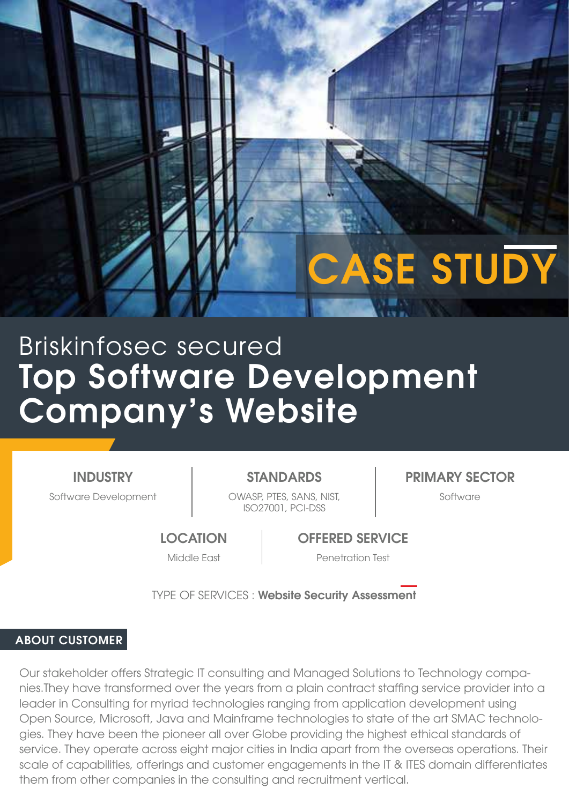# Top Software Development Company's Website Briskinfosec secured

INDUSTRY

Software Development The COWASP, PTES, SANS, NIST, The Software ISO27001, PCI-DSS

STANDARDS | PRIMARY SECTOR

CASE STUDY

**LOCATION** 

OFFERED SERVICE

Middle East Penetration Test

TYPE OF SERVICES : Website Security Assessment

## ABOUT CUSTOMER

Our stakeholder offers Strategic IT consulting and Managed Solutions to Technology companies.They have transformed over the years from a plain contract staffing service provider into a leader in Consulting for myriad technologies ranging from application development using Open Source, Microsoft, Java and Mainframe technologies to state of the art SMAC technologies. They have been the pioneer all over Globe providing the highest ethical standards of service. They operate across eight major cities in India apart from the overseas operations. Their scale of capabilities, offerings and customer engagements in the IT & ITES domain differentiates them from other companies in the consulting and recruitment vertical.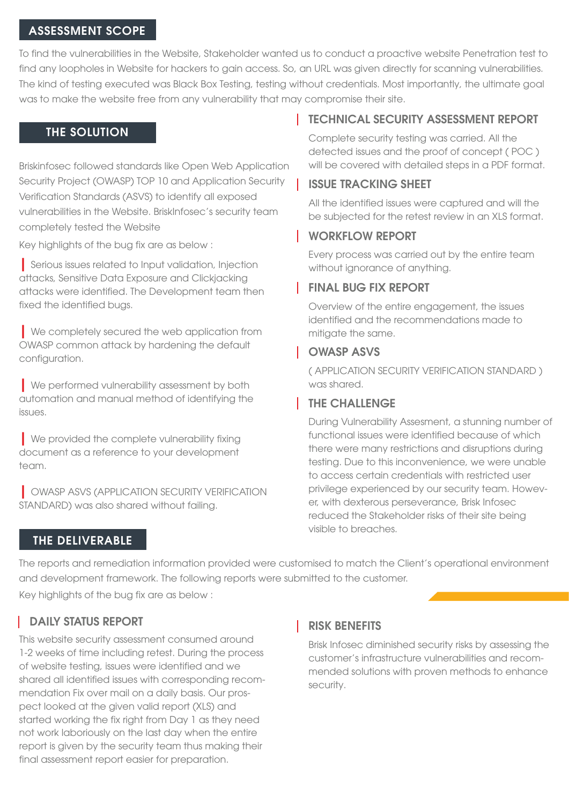#### ASSESSMENT SCOPE

To find the vulnerabilities in the Website, Stakeholder wanted us to conduct a proactive website Penetration test to find any loopholes in Website for hackers to gain access. So, an URL was given directly for scanning vulnerabilities. The kind of testing executed was Black Box Testing, testing without credentials. Most importantly, the ultimate goal was to make the website free from any vulnerability that may compromise their site.

#### THE SOLUTION

Briskinfosec followed standards like Open Web Application Security Project (OWASP) TOP 10 and Application Security Verification Standards (ASVS) to identify all exposed vulnerabilities in the Website. BriskInfosec's security team completely tested the Website

Key highlights of the bug fix are as below :

| Serious issues related to Input validation, Injection attacks, Sensitive Data Exposure and Clickjacking attacks were identified. The Development team then fixed the identified bugs.

**I** We completely secured the web application from OWASP common attack by hardening the default configuration.

| We performed vulnerability assessment by both automation and manual method of identifying the issues.

| We provided the complete vulnerability fixing document as a reference to your development team.

| OWASP ASVS (APPLICATION SECURITY VERIFICATION STANDARD) was also shared without failing.

# TECHNICAL SECURITY ASSESSMENT REPORT

Complete security testing was carried. All the detected issues and the proof of concept ( POC ) will be covered with detailed steps in a PDF format.

## ISSUE TRACKING SHEET

All the identified issues were captured and will the be subjected for the retest review in an XLS format.

### WORKFLOW REPORT

Every process was carried out by the entire team without ignorance of anything.

## FINAL BUG FIX REPORT

Overview of the entire engagement, the issues identified and the recommendations made to mitigate the same.

### OWASP ASVS

( APPLICATION SECURITY VERIFICATION STANDARD ) was shared.

# THE CHALLENGE

During Vulnerability Assesment, a stunning number of functional issues were identified because of which there were many restrictions and disruptions during testing. Due to this inconvenience, we were unable to access certain credentials with restricted user privilege experienced by our security team. However, with dexterous perseverance, Brisk Infosec reduced the Stakeholder risks of their site being visible to breaches.

# THE DELIVERABLE

The reports and remediation information provided were customised to match the Client's operational environment and development framework. The following reports were submitted to the customer.

Key highlights of the bug fix are as below :

# **DAILY STATUS REPORT**

This website security assessment consumed around 1-2 weeks of time including retest. During the process of website testing, issues were identified and we shared all identified issues with corresponding recommendation Fix over mail on a daily basis. Our prospect looked at the given valid report (XLS) and started working the fix right from Day 1 as they need not work laboriously on the last day when the entire report is given by the security team thus making their final assessment report easier for preparation.

## RISK BENEFITS

Brisk Infosec diminished security risks by assessing the customer's infrastructure vulnerabilities and recommended solutions with proven methods to enhance security.